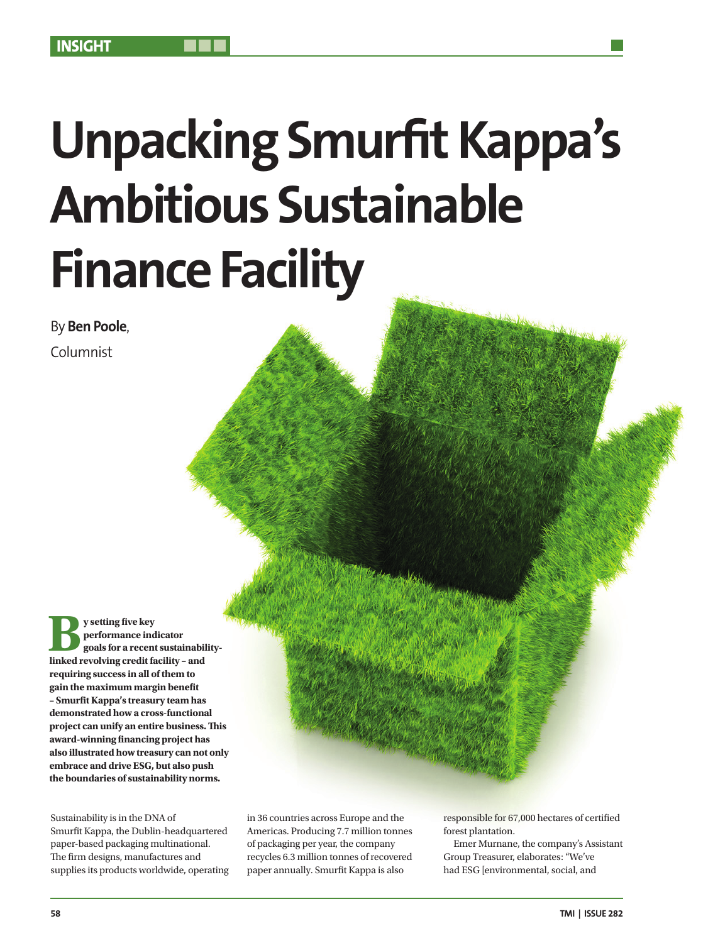# **Unpacking Smurfit Kappa's Ambitious Sustainable Finance Facility**

By **Ben Poole**,

Columnist

**different interpretation**<br> **linked revolving credit facility – and performance indicator goals for a recent sustainabilityrequiring success in all of them to gain the maximum margin benefit – Smurfit Kappa's treasury team has demonstrated how a cross-functional project can unify an entire business. This award-winning financing project has also illustrated how treasury can not only embrace and drive ESG, but also push the boundaries of sustainability norms.**

Sustainability is in the DNA of Smurfit Kappa, the Dublin-headquartered paper-based packaging multinational. The firm designs, manufactures and supplies its products worldwide, operating in 36 countries across Europe and the Americas. Producing 7.7 million tonnes of packaging per year, the company recycles 6.3 million tonnes of recovered paper annually. Smurfit Kappa is also

responsible for 67,000 hectares of certified forest plantation.

Emer Murnane, the company's Assistant Group Treasurer, elaborates: "We've had ESG [environmental, social, and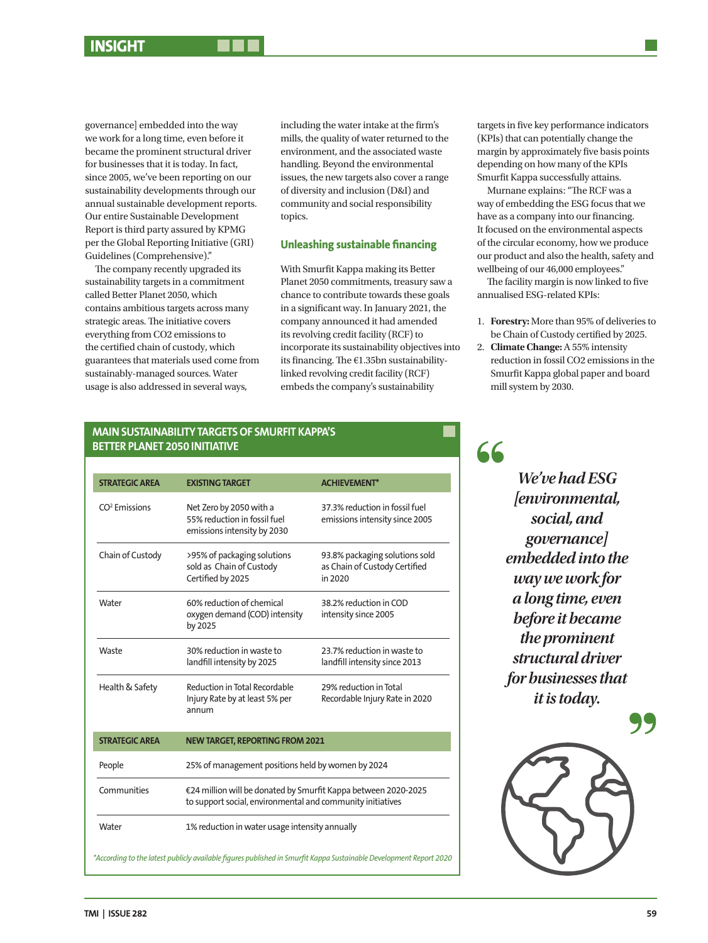# **INSIGHT**

governance] embedded into the way we work for a long time, even before it became the prominent structural driver for businesses that it is today. In fact, since 2005, we've been reporting on our sustainability developments through our annual sustainable development reports. Our entire Sustainable Development Report is third party assured by KPMG per the Global Reporting Initiative (GRI) Guidelines (Comprehensive)."

The company recently upgraded its sustainability targets in a commitment called Better Planet 2050, which contains ambitious targets across many strategic areas. The initiative covers everything from CO2 emissions to the certified chain of custody, which guarantees that materials used come from sustainably-managed sources. Water usage is also addressed in several ways,

including the water intake at the firm's mills, the quality of water returned to the environment, and the associated waste handling. Beyond the environmental issues, the new targets also cover a range of diversity and inclusion (D&I) and community and social responsibility topics.

## **Unleashing sustainable financing**

With Smurfit Kappa making its Better Planet 2050 commitments, treasury saw a chance to contribute towards these goals in a significant way. In January 2021, the company announced it had amended its revolving credit facility (RCF) to incorporate its sustainability objectives into its financing. The €1.35bn sustainabilitylinked revolving credit facility (RCF) embeds the company's sustainability

targets in five key performance indicators (KPIs) that can potentially change the margin by approximately five basis points depending on how many of the KPIs Smurfit Kappa successfully attains.

Murnane explains: "The RCF was a way of embedding the ESG focus that we have as a company into our financing. It focused on the environmental aspects of the circular economy, how we produce our product and also the health, safety and wellbeing of our 46,000 employees."

The facility margin is now linked to five annualised ESG-related KPIs:

- 1. **Forestry:** More than 95% of deliveries to be Chain of Custody certified by 2025.
- 2. **Climate Change:** A 55% intensity reduction in fossil CO2 emissions in the Smurfit Kappa global paper and board mill system by 2030.

## **MAIN SUSTAINABILITY TARGETS OF SMURFIT KAPPA'S BETTER PLANET 2050 INITIATIVE**

| <b>STRATEGIC AREA</b>                                                                                              | <b>EXISTING TARGET</b>                                                                                                       | <b>ACHIEVEMENT*</b>                                                        |
|--------------------------------------------------------------------------------------------------------------------|------------------------------------------------------------------------------------------------------------------------------|----------------------------------------------------------------------------|
| CO <sup>2</sup> Emissions                                                                                          | Net Zero by 2050 with a<br>55% reduction in fossil fuel<br>emissions intensity by 2030                                       | 37.3% reduction in fossil fuel<br>emissions intensity since 2005           |
| Chain of Custody                                                                                                   | >95% of packaging solutions<br>sold as Chain of Custody<br>Certified by 2025                                                 | 93.8% packaging solutions sold<br>as Chain of Custody Certified<br>in 2020 |
| Water                                                                                                              | 60% reduction of chemical<br>oxygen demand (COD) intensity<br>by 2025                                                        | 38.2% reduction in COD<br>intensity since 2005                             |
| Waste                                                                                                              | 30% reduction in waste to<br>landfill intensity by 2025                                                                      | 23.7% reduction in waste to<br>landfill intensity since 2013               |
| Health & Safety                                                                                                    | Reduction in Total Recordable<br>Injury Rate by at least 5% per<br>annum                                                     | 29% reduction in Total<br>Recordable Injury Rate in 2020                   |
| <b>STRATEGIC AREA</b>                                                                                              | <b>NEW TARGET, REPORTING FROM 2021</b>                                                                                       |                                                                            |
| People                                                                                                             | 25% of management positions held by women by 2024                                                                            |                                                                            |
| Communities                                                                                                        | €24 million will be donated by Smurfit Kappa between 2020-2025<br>to support social, environmental and community initiatives |                                                                            |
| Water                                                                                                              | 1% reduction in water usage intensity annually                                                                               |                                                                            |
| According to the latest publicly available figures published in Smurfit Kappa Sustainable Development Report 2020* |                                                                                                                              |                                                                            |

*We've had ESG [environmental, social, and governance] embedded into the way we work for a long time, even* 

66

*before it became the prominent structural driver for businesses that it is today.*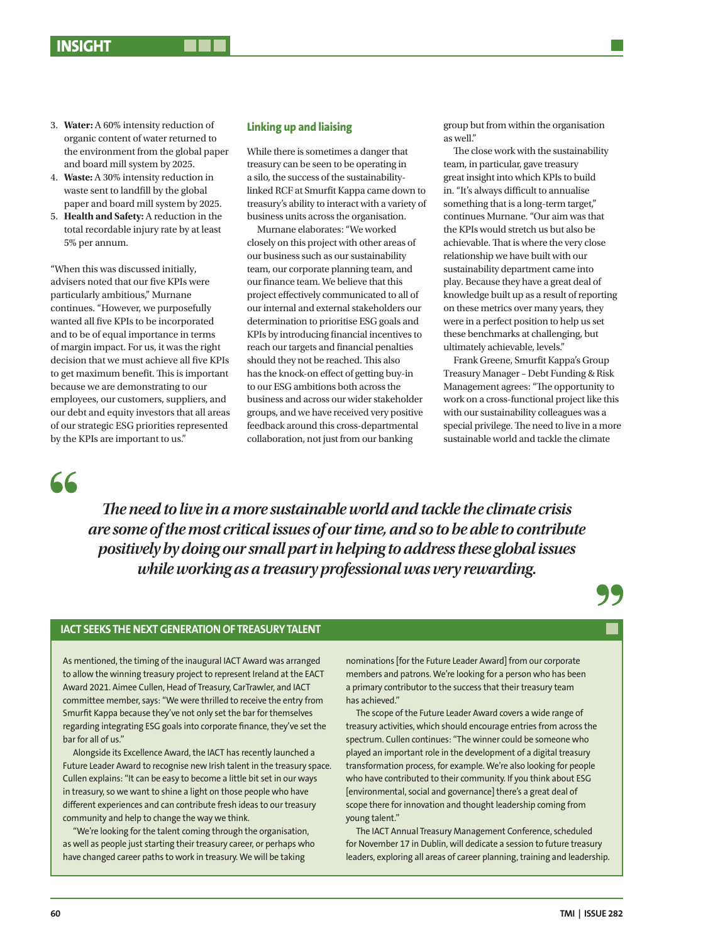- 3. **Water:** A 60% intensity reduction of organic content of water returned to the environment from the global paper and board mill system by 2025.
- 4. **Waste:** A 30% intensity reduction in waste sent to landfill by the global paper and board mill system by 2025.
- 5. **Health and Safety:** A reduction in the total recordable injury rate by at least 5% per annum.

"When this was discussed initially, advisers noted that our five KPIs were particularly ambitious," Murnane continues. "However, we purposefully wanted all five KPIs to be incorporated and to be of equal importance in terms of margin impact. For us, it was the right decision that we must achieve all five KPIs to get maximum benefit. This is important because we are demonstrating to our employees, our customers, suppliers, and our debt and equity investors that all areas of our strategic ESG priorities represented by the KPIs are important to us."

#### **Linking up and liaising**

While there is sometimes a danger that treasury can be seen to be operating in a silo, the success of the sustainabilitylinked RCF at Smurfit Kappa came down to treasury's ability to interact with a variety of business units across the organisation.

Murnane elaborates: "We worked closely on this project with other areas of our business such as our sustainability team, our corporate planning team, and our finance team. We believe that this project effectively communicated to all of our internal and external stakeholders our determination to prioritise ESG goals and KPIs by introducing financial incentives to reach our targets and financial penalties should they not be reached. This also has the knock-on effect of getting buy-in to our ESG ambitions both across the business and across our wider stakeholder groups, and we have received very positive feedback around this cross-departmental collaboration, not just from our banking

group but from within the organisation as well."

The close work with the sustainability team, in particular, gave treasury great insight into which KPIs to build in. "It's always difficult to annualise something that is a long-term target," continues Murnane. "Our aim was that the KPIs would stretch us but also be achievable. That is where the very close relationship we have built with our sustainability department came into play. Because they have a great deal of knowledge built up as a result of reporting on these metrics over many years, they were in a perfect position to help us set these benchmarks at challenging, but ultimately achievable, levels."

Frank Greene, Smurfit Kappa's Group Treasury Manager – Debt Funding & Risk Management agrees: "The opportunity to work on a cross-functional project like this with our sustainability colleagues was a special privilege. The need to live in a more sustainable world and tackle the climate



*The need to live in a more sustainable world and tackle the climate crisis are some of the most critical issues of our time, and so to be able to contribute positively by doing our small part in helping to address these global issues while working as a treasury professional was very rewarding.*

#### **IACT SEEKS THE NEXT GENERATION OF TREASURY TALENT**

As mentioned, the timing of the inaugural IACT Award was arranged to allow the winning treasury project to represent Ireland at the EACT Award 2021. Aimee Cullen, Head of Treasury, CarTrawler, and IACT committee member, says: "We were thrilled to receive the entry from Smurfit Kappa because they've not only set the bar for themselves regarding integrating ESG goals into corporate finance, they've set the bar for all of us."

Alongside its Excellence Award, the IACT has recently launched a Future Leader Award to recognise new Irish talent in the treasury space. Cullen explains: "It can be easy to become a little bit set in our ways in treasury, so we want to shine a light on those people who have different experiences and can contribute fresh ideas to our treasury community and help to change the way we think.

"We're looking for the talent coming through the organisation, as well as people just starting their treasury career, or perhaps who have changed career paths to work in treasury. We will be taking

nominations [for the Future Leader Award] from our corporate members and patrons. We're looking for a person who has been a primary contributor to the success that their treasury team has achieved."

The scope of the Future Leader Award covers a wide range of treasury activities, which should encourage entries from across the spectrum. Cullen continues: "The winner could be someone who played an important role in the development of a digital treasury transformation process, for example. We're also looking for people who have contributed to their community. If you think about ESG [environmental, social and governance] there's a great deal of scope there for innovation and thought leadership coming from young talent."

The IACT Annual Treasury Management Conference, scheduled for November 17 in Dublin, will dedicate a session to future treasury leaders, exploring all areas of career planning, training and leadership.